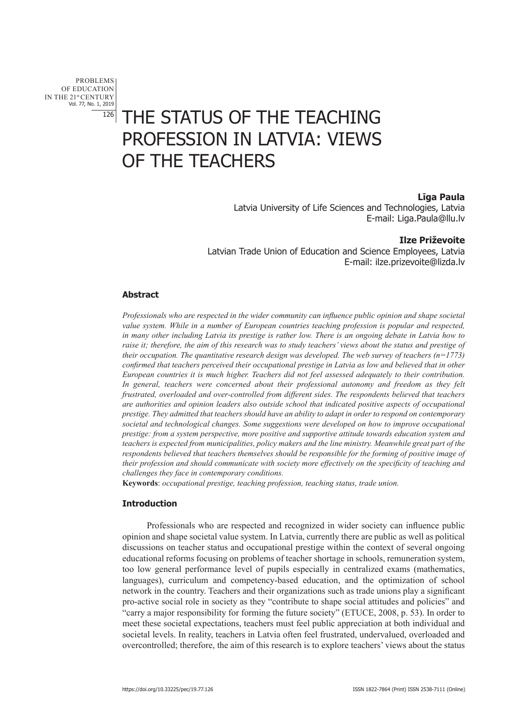PROBLEMS OF EDUCATION IN THE 21st CENTURY Vol. 77, No. 1, 2019 126

# THE STATUS OF THE TEACHING PROFESSION IN LATVIA: VIEWS OF THE TEACHERS

# **Līga Paula**

Latvia University of Life Sciences and Technologies, Latvia E-mail: Liga.Paula@llu.lv

# **Ilze Priževoite**

Latvian Trade Union of Education and Science Employees, Latvia E-mail: ilze.prizevoite@lizda.lv

# **Abstract**

*Professionals who are respected in the wider community can influence public opinion and shape societal value system. While in a number of European countries teaching profession is popular and respected, in many other including Latvia its prestige is rather low. There is an ongoing debate in Latvia how to raise it; therefore, the aim of this research was to study teachers' views about the status and prestige of their occupation. The quantitative research design was developed. The web survey of teachers (n=1773) confirmed that teachers perceived their occupational prestige in Latvia as low and believed that in other European countries it is much higher. Teachers did not feel assessed adequately to their contribution. In general, teachers were concerned about their professional autonomy and freedom as they felt frustrated, overloaded and over-controlled from different sides. The respondents believed that teachers are authorities and opinion leaders also outside school that indicated positive aspects of occupational prestige. They admitted that teachers should have an ability to adapt in order to respond on contemporary societal and technological changes. Some suggestions were developed on how to improve occupational prestige: from a system perspective, more positive and supportive attitude towards education system and teachers is expected from municipalities, policy makers and the line ministry. Meanwhile great part of the respondents believed that teachers themselves should be responsible for the forming of positive image of their profession and should communicate with society more effectively on the specificity of teaching and challenges they face in contemporary conditions.*

**Keywords**: *occupational prestige, teaching profession, teaching status, trade union.*

### **Introduction**

Professionals who are respected and recognized in wider society can influence public opinion and shape societal value system. In Latvia, currently there are public as well as political discussions on teacher status and occupational prestige within the context of several ongoing educational reforms focusing on problems of teacher shortage in schools, remuneration system, too low general performance level of pupils especially in centralized exams (mathematics, languages), curriculum and competency-based education, and the optimization of school network in the country. Teachers and their organizations such as trade unions play a significant pro-active social role in society as they "contribute to shape social attitudes and policies" and "carry a major responsibility for forming the future society" (ETUCE, 2008, p. 53). In order to meet these societal expectations, teachers must feel public appreciation at both individual and societal levels. In reality, teachers in Latvia often feel frustrated, undervalued, overloaded and overcontrolled; therefore, the aim of this research is to explore teachers' views about the status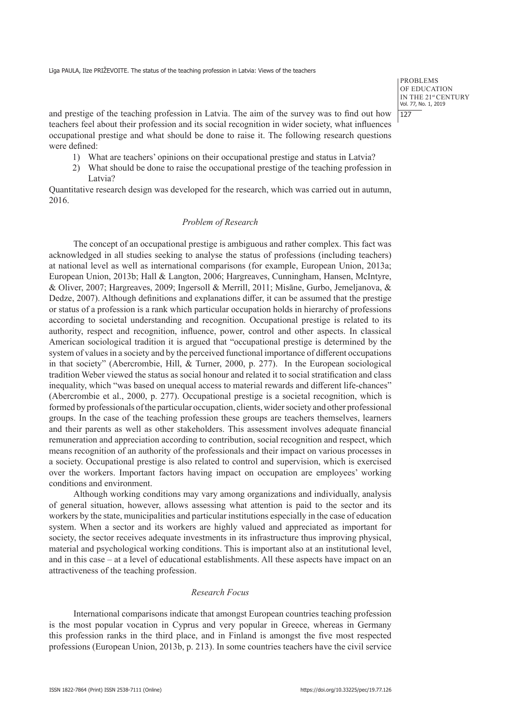**PROBLEMS** OF EDUCATION IN THE 21st CENTURY Vol. 77, No. 1, 2019 | 127

and prestige of the teaching profession in Latvia. The aim of the survey was to find out how teachers feel about their profession and its social recognition in wider society, what influences occupational prestige and what should be done to raise it. The following research questions were defined:

- 1) What are teachers' opinions on their occupational prestige and status in Latvia?
- 2) What should be done to raise the occupational prestige of the teaching profession in Latvia?

Quantitative research design was developed for the research, which was carried out in autumn, 2016.

# *Problem of Research*

The concept of an occupational prestige is ambiguous and rather complex. This fact was acknowledged in all studies seeking to analyse the status of professions (including teachers) at national level as well as international comparisons (for example, European Union, 2013a; European Union, 2013b; Hall & Langton, 2006; Hargreaves, Cunningham, Hansen, McIntyre, & Oliver, 2007; Hargreaves, 2009; Ingersoll & Merrill, 2011; Misāne, Gurbo, Jemeljanova, & Dedze, 2007). Although definitions and explanations differ, it can be assumed that the prestige or status of a profession is a rank which particular occupation holds in hierarchy of professions according to societal understanding and recognition. Occupational prestige is related to its authority, respect and recognition, influence, power, control and other aspects. In classical American sociological tradition it is argued that "occupational prestige is determined by the system of values in a society and by the perceived functional importance of different occupations in that society" (Abercrombie, Hill, & Turner, 2000, p. 277). In the European sociological tradition Weber viewed the status as social honour and related it to social stratification and class inequality, which "was based on unequal access to material rewards and different life-chances" (Abercrombie et al., 2000, p. 277). Occupational prestige is a societal recognition, which is formed by professionals of the particular occupation, clients, wider society and other professional groups. In the case of the teaching profession these groups are teachers themselves, learners and their parents as well as other stakeholders. This assessment involves adequate financial remuneration and appreciation according to contribution, social recognition and respect, which means recognition of an authority of the professionals and their impact on various processes in a society. Occupational prestige is also related to control and supervision, which is exercised over the workers. Important factors having impact on occupation are employees' working conditions and environment.

Although working conditions may vary among organizations and individually, analysis of general situation, however, allows assessing what attention is paid to the sector and its workers by the state, municipalities and particular institutions especially in the case of education system. When a sector and its workers are highly valued and appreciated as important for society, the sector receives adequate investments in its infrastructure thus improving physical, material and psychological working conditions. This is important also at an institutional level, and in this case – at a level of educational establishments. All these aspects have impact on an attractiveness of the teaching profession.

#### *Research Focus*

International comparisons indicate that amongst European countries teaching profession is the most popular vocation in Cyprus and very popular in Greece, whereas in Germany this profession ranks in the third place, and in Finland is amongst the five most respected professions (European Union, 2013b, p. 213). In some countries teachers have the civil service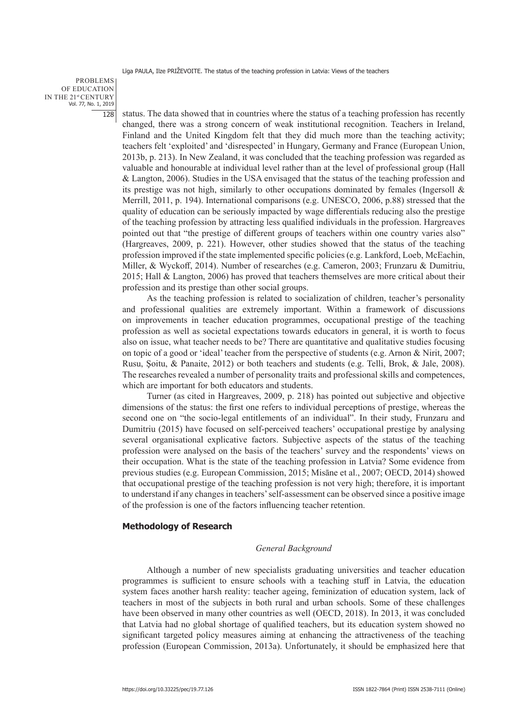PROBLEMS OF EDUCATION IN THE 21st CENTURY Vol. 77, No. 1, 2019 128

status. The data showed that in countries where the status of a teaching profession has recently changed, there was a strong concern of weak institutional recognition. Teachers in Ireland, Finland and the United Kingdom felt that they did much more than the teaching activity; teachers felt 'exploited' and 'disrespected' in Hungary, Germany and France (European Union, 2013b, p. 213). In New Zealand, it was concluded that the teaching profession was regarded as valuable and honourable at individual level rather than at the level of professional group (Hall & Langton, 2006). Studies in the USA envisaged that the status of the teaching profession and its prestige was not high, similarly to other occupations dominated by females (Ingersoll & Merrill, 2011, p. 194). International comparisons (e.g. UNESCO, 2006, p.88) stressed that the quality of education can be seriously impacted by wage differentials reducing also the prestige of the teaching profession by attracting less qualified individuals in the profession. Hargreaves pointed out that "the prestige of different groups of teachers within one country varies also" (Hargreaves, 2009, p. 221). However, other studies showed that the status of the teaching profession improved if the state implemented specific policies (e.g. Lankford, Loeb, McEachin, Miller, & Wyckoff, 2014). Number of researches (e.g. Cameron, 2003; Frunzaru & Dumitriu, 2015; Hall & Langton, 2006) has proved that teachers themselves are more critical about their profession and its prestige than other social groups.

As the teaching profession is related to socialization of children, teacher's personality and professional qualities are extremely important. Within a framework of discussions on improvements in teacher education programmes, occupational prestige of the teaching profession as well as societal expectations towards educators in general, it is worth to focus also on issue, what teacher needs to be? There are quantitative and qualitative studies focusing on topic of a good or 'ideal' teacher from the perspective of students (e.g. Arnon & Nirit, 2007; Rusu, Şoitu, & Panaite, 2012) or both teachers and students (e.g. Telli, Brok, & Jale, 2008). The researches revealed a number of personality traits and professional skills and competences, which are important for both educators and students.

Turner (as cited in Hargreaves, 2009, p. 218) has pointed out subjective and objective dimensions of the status: the first one refers to individual perceptions of prestige, whereas the second one on "the socio-legal entitlements of an individual". In their study, Frunzaru and Dumitriu (2015) have focused on self-perceived teachers' occupational prestige by analysing several organisational explicative factors. Subjective aspects of the status of the teaching profession were analysed on the basis of the teachers' survey and the respondents' views on their occupation. What is the state of the teaching profession in Latvia? Some evidence from previous studies (e.g. European Commission, 2015; Misāne et al., 2007; OECD, 2014) showed that occupational prestige of the teaching profession is not very high; therefore, it is important to understand if any changes in teachers' self-assessment can be observed since a positive image of the profession is one of the factors influencing teacher retention.

#### **Methodology of Research**

### *General Background*

Although a number of new specialists graduating universities and teacher education programmes is sufficient to ensure schools with a teaching stuff in Latvia, the education system faces another harsh reality: teacher ageing, feminization of education system, lack of teachers in most of the subjects in both rural and urban schools. Some of these challenges have been observed in many other countries as well (OECD, 2018). In 2013, it was concluded that Latvia had no global shortage of qualified teachers, but its education system showed no significant targeted policy measures aiming at enhancing the attractiveness of the teaching profession (European Commission, 2013a). Unfortunately, it should be emphasized here that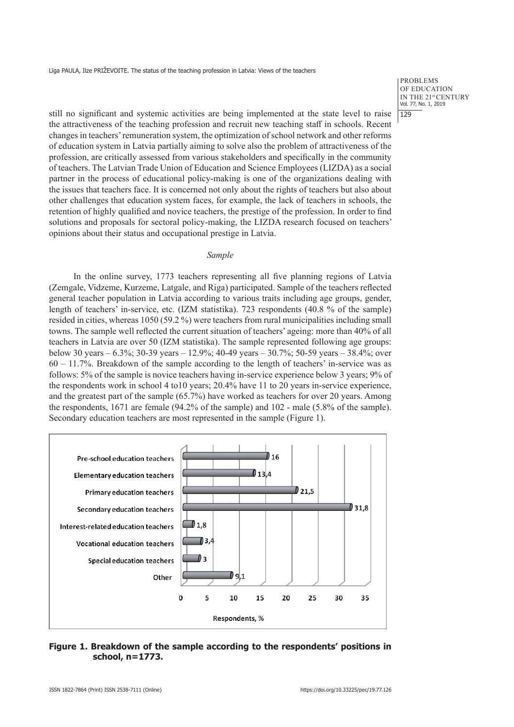**PROBLEMS** OF EDUCATION IN THE 21st CENTURY Vol. 77, No. 1, 2019  $1129$ 

still no significant and systemic activities are being implemented at the state level to raise the attractiveness of the teaching profession and recruit new teaching staff in schools. Recent changes in teachers' remuneration system, the optimization of school network and other reforms of education system in Latvia partially aiming to solve also the problem of attractiveness of the profession, are critically assessed from various stakeholders and specifically in the community of teachers. The Latvian Trade Union of Education and Science Employees (LIZDA) as a social partner in the process of educational policy-making is one of the organizations dealing with the issues that teachers face. It is concerned not only about the rights of teachers but also about other challenges that education system faces, for example, the lack of teachers in schools, the retention of highly qualified and novice teachers, the prestige of the profession. In order to find solutions and proposals for sectoral policy-making, the LIZDA research focused on teachers' opinions about their status and occupational prestige in Latvia.

# *Sample*

In the online survey, 1773 teachers representing all five planning regions of Latvia (Zemgale, Vidzeme, Kurzeme, Latgale, and Riga) participated. Sample of the teachers reflected general teacher population in Latvia according to various traits including age groups, gender, length of teachers' in-service, etc. (IZM statistika). 723 respondents (40.8 % of the sample) resided in cities, whereas 1050 (59.2 %) were teachers from rural municipalities including small towns. The sample well reflected the current situation of teachers' ageing: more than 40% of all teachers in Latvia are over 50 (IZM statistika). The sample represented following age groups: below 30 years – 6.3%; 30-39 years – 12.9%; 40-49 years – 30.7%; 50-59 years – 38.4%; over 60 – 11.7%. Breakdown of the sample according to the length of teachers' in-service was as follows: 5% of the sample is novice teachers having in-service experience below 3 years; 9% of the respondents work in school 4 to10 years; 20.4% have 11 to 20 years in-service experience, and the greatest part of the sample (65.7%) have worked as teachers for over 20 years. Among the respondents, 1671 are female (94.2% of the sample) and 102 - male (5.8% of the sample). Secondary education teachers are most represented in the sample (Figure 1).



# **Figure 1. Breakdown of the sample according to the respondents' positions in school, n=1773.**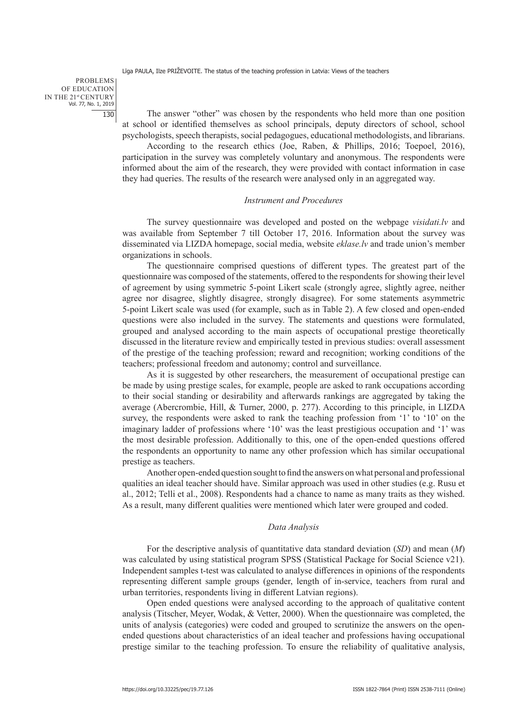PROBLEMS OF EDUCATION IN THE 21st CENTURY Vol. 77, No. 1, 2019 130

The answer "other" was chosen by the respondents who held more than one position at school or identified themselves as school principals, deputy directors of school, school psychologists, speech therapists, social pedagogues, educational methodologists, and librarians.

According to the research ethics (Joe, Raben, & Phillips, 2016; Toepoel, 2016), participation in the survey was completely voluntary and anonymous. The respondents were informed about the aim of the research, they were provided with contact information in case they had queries. The results of the research were analysed only in an aggregated way.

#### *Instrument and Procedures*

The survey questionnaire was developed and posted on the webpage *visidati.lv* and was available from September 7 till October 17, 2016. Information about the survey was disseminated via LIZDA homepage, social media, website *eklase.lv* and trade union's member organizations in schools.

The questionnaire comprised questions of different types. The greatest part of the questionnaire was composed of the statements, offered to the respondents for showing their level of agreement by using symmetric 5-point Likert scale (strongly agree, slightly agree, neither agree nor disagree, slightly disagree, strongly disagree). For some statements asymmetric 5-point Likert scale was used (for example, such as in Table 2). A few closed and open-ended questions were also included in the survey. The statements and questions were formulated, grouped and analysed according to the main aspects of occupational prestige theoretically discussed in the literature review and empirically tested in previous studies: overall assessment of the prestige of the teaching profession; reward and recognition; working conditions of the teachers; professional freedom and autonomy; control and surveillance.

As it is suggested by other researchers, the measurement of occupational prestige can be made by using prestige scales, for example, people are asked to rank occupations according to their social standing or desirability and afterwards rankings are aggregated by taking the average (Abercrombie, Hill, & Turner, 2000, p. 277). According to this principle, in LIZDA survey, the respondents were asked to rank the teaching profession from '1' to '10' on the imaginary ladder of professions where '10' was the least prestigious occupation and '1' was the most desirable profession. Additionally to this, one of the open-ended questions offered the respondents an opportunity to name any other profession which has similar occupational prestige as teachers.

Another open-ended question sought to find the answers on what personal and professional qualities an ideal teacher should have. Similar approach was used in other studies (e.g. Rusu et al., 2012; Telli et al., 2008). Respondents had a chance to name as many traits as they wished. As a result, many different qualities were mentioned which later were grouped and coded.

#### *Data Analysis*

For the descriptive analysis of quantitative data standard deviation (*SD*) and mean (*M*) was calculated by using statistical program SPSS (Statistical Package for Social Science v21). Independent samples t-test was calculated to analyse differences in opinions of the respondents representing different sample groups (gender, length of in-service, teachers from rural and urban territories, respondents living in different Latvian regions).

Open ended questions were analysed according to the approach of qualitative content analysis (Titscher, Meyer, Wodak, & Vetter, 2000). When the questionnaire was completed, the units of analysis (categories) were coded and grouped to scrutinize the answers on the openended questions about characteristics of an ideal teacher and professions having occupational prestige similar to the teaching profession. To ensure the reliability of qualitative analysis,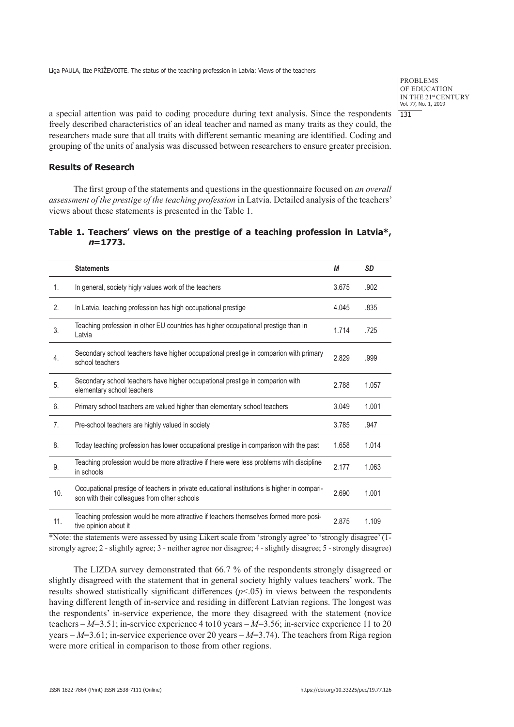PROBLEMS OF EDUCATION IN THE 21st CENTURY Vol. 77, No. 1, 2019 131

a special attention was paid to coding procedure during text analysis. Since the respondents freely described characteristics of an ideal teacher and named as many traits as they could, the researchers made sure that all traits with different semantic meaning are identified. Coding and grouping of the units of analysis was discussed between researchers to ensure greater precision.

# **Results of Research**

The first group of the statements and questions in the questionnaire focused on *an overall assessment of the prestige of the teaching profession* in Latvia. Detailed analysis of the teachers' views about these statements is presented in the Table 1.

|  |           |  |  |  | Table 1. Teachers' views on the prestige of a teaching profession in Latvia*, |  |  |
|--|-----------|--|--|--|-------------------------------------------------------------------------------|--|--|
|  | $n=1773.$ |  |  |  |                                                                               |  |  |

|                | <b>Statements</b>                                                                                                                           | М     | <b>SD</b> |
|----------------|---------------------------------------------------------------------------------------------------------------------------------------------|-------|-----------|
| $\mathbf{1}$ . | In general, society higly values work of the teachers                                                                                       | 3.675 | .902      |
| 2.             | In Latvia, teaching profession has high occupational prestige                                                                               | 4.045 | .835      |
| 3.             | Teaching profession in other EU countries has higher occupational prestige than in<br>Latvia                                                | 1.714 | .725      |
| 4.             | Secondary school teachers have higher occupational prestige in comparion with primary<br>school teachers                                    | 2.829 | .999      |
| 5.             | Secondary school teachers have higher occupational prestige in comparion with<br>elementary school teachers                                 | 2.788 | 1.057     |
| 6.             | Primary school teachers are valued higher than elementary school teachers                                                                   | 3.049 | 1.001     |
| 7 <sub>1</sub> | Pre-school teachers are highly valued in society                                                                                            | 3.785 | .947      |
| 8.             | Today teaching profession has lower occupational prestige in comparison with the past                                                       | 1.658 | 1.014     |
| 9.             | Teaching profession would be more attractive if there were less problems with discipline<br>in schools                                      | 2.177 | 1.063     |
| 10.            | Occupational prestige of teachers in private educational institutions is higher in compari-<br>son with their colleagues from other schools | 2.690 | 1.001     |
| 11.            | Teaching profession would be more attractive if teachers themselves formed more posi-<br>tive opinion about it                              | 2.875 | 1.109     |

\*Note: the statements were assessed by using Likert scale from 'strongly agree' to 'strongly disagree' (1 strongly agree; 2 - slightly agree; 3 - neither agree nor disagree; 4 - slightly disagree; 5 - strongly disagree)

The LIZDA survey demonstrated that 66.7 % of the respondents strongly disagreed or slightly disagreed with the statement that in general society highly values teachers' work. The results showed statistically significant differences  $(p<0.05)$  in views between the respondents having different length of in-service and residing in different Latvian regions. The longest was the respondents' in-service experience, the more they disagreed with the statement (novice teachers – *M*=3.51; in-service experience 4 to10 years – *M*=3.56; in-service experience 11 to 20 years – *M*=3.61; in-service experience over 20 years – *M*=3.74). The teachers from Riga region were more critical in comparison to those from other regions.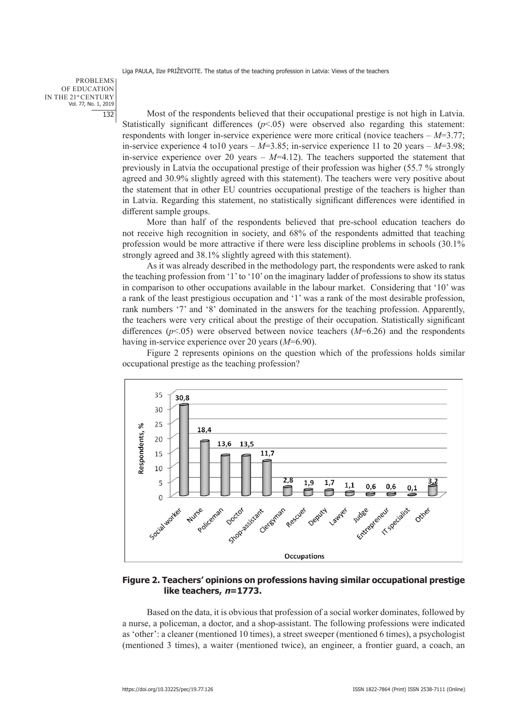PROBLEMS OF EDUCATION IN THE 21st CENTURY Vol. 77, No. 1, 2019 132

Most of the respondents believed that their occupational prestige is not high in Latvia. Statistically significant differences ( $p$ <.05) were observed also regarding this statement: respondents with longer in-service experience were more critical (novice teachers – *M*=3.77; in-service experience 4 to10 years – *M*=3.85; in-service experience 11 to 20 years – *M*=3.98; in-service experience over 20 years  $-M=4.12$ ). The teachers supported the statement that previously in Latvia the occupational prestige of their profession was higher (55.7 % strongly agreed and 30.9% slightly agreed with this statement). The teachers were very positive about the statement that in other EU countries occupational prestige of the teachers is higher than in Latvia. Regarding this statement, no statistically significant differences were identified in different sample groups.

More than half of the respondents believed that pre-school education teachers do not receive high recognition in society, and 68% of the respondents admitted that teaching profession would be more attractive if there were less discipline problems in schools (30.1% strongly agreed and 38.1% slightly agreed with this statement).

As it was already described in the methodology part, the respondents were asked to rank the teaching profession from '1' to '10' on the imaginary ladder of professions to show its status in comparison to other occupations available in the labour market. Considering that '10' was a rank of the least prestigious occupation and '1' was a rank of the most desirable profession, rank numbers '7' and '8' dominated in the answers for the teaching profession. Apparently, the teachers were very critical about the prestige of their occupation. Statistically significant differences (*p*<.05) were observed between novice teachers (*M*=6.26) and the respondents having in-service experience over 20 years (*M*=6.90).

Figure 2 represents opinions on the question which of the professions holds similar occupational prestige as the teaching profession?



# **Figure 2. Teachers' opinions on professions having similar occupational prestige like teachers, n=1773.**

Based on the data, it is obvious that profession of a social worker dominates, followed by a nurse, a policeman, a doctor, and a shop-assistant. The following professions were indicated as 'other': a cleaner (mentioned 10 times), a street sweeper (mentioned 6 times), a psychologist (mentioned 3 times), a waiter (mentioned twice), an engineer, a frontier guard, a coach, an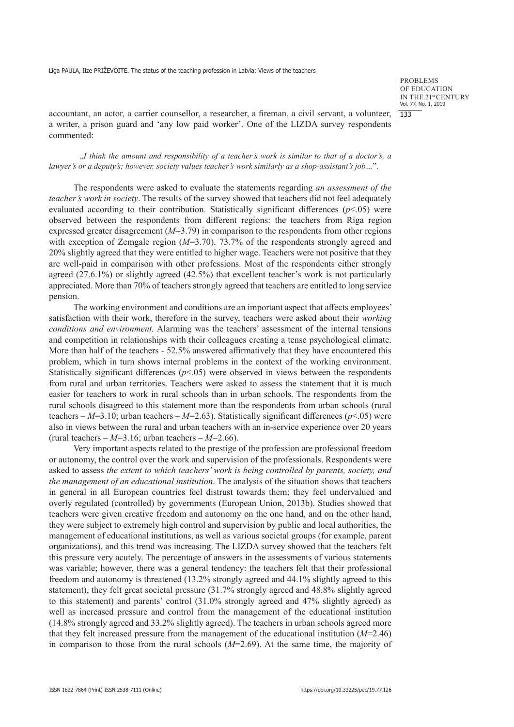**PROBLEMS** OF EDUCATION IN THE 21st CENTURY Vol. 77, No. 1, 2019  $133$ 

accountant, an actor, a carrier counsellor, a researcher, a fireman, a civil servant, a volunteer, a writer, a prison guard and 'any low paid worker'. One of the LIZDA survey respondents commented:

"*I think the amount and responsibility of a teacher's work is similar to that of a doctor's, a lawyer's or a deputy's; however, society values teacher's work similarly as a shop-assistant's job…*".

The respondents were asked to evaluate the statements regarding *an assessment of the teacher's work in society*. The results of the survey showed that teachers did not feel adequately evaluated according to their contribution. Statistically significant differences  $(p<.05)$  were observed between the respondents from different regions: the teachers from Riga region expressed greater disagreement (*M*=3.79) in comparison to the respondents from other regions with exception of Zemgale region ( $M=3.70$ ). 73.7% of the respondents strongly agreed and 20% slightly agreed that they were entitled to higher wage. Teachers were not positive that they are well-paid in comparison with other professions. Most of the respondents either strongly agreed (27.6.1%) or slightly agreed (42.5%) that excellent teacher's work is not particularly appreciated. More than 70% of teachers strongly agreed that teachers are entitled to long service pension.

The working environment and conditions are an important aspect that affects employees' satisfaction with their work, therefore in the survey, teachers were asked about their *working conditions and environment.* Alarming was the teachers' assessment of the internal tensions and competition in relationships with their colleagues creating a tense psychological climate. More than half of the teachers - 52.5% answered affirmatively that they have encountered this problem, which in turn shows internal problems in the context of the working environment. Statistically significant differences  $(p<0.05)$  were observed in views between the respondents from rural and urban territories. Teachers were asked to assess the statement that it is much easier for teachers to work in rural schools than in urban schools. The respondents from the rural schools disagreed to this statement more than the respondents from urban schools (rural teachers –  $M=3.10$ ; urban teachers –  $M=2.63$ ). Statistically significant differences ( $p<0.05$ ) were also in views between the rural and urban teachers with an in-service experience over 20 years (rural teachers –  $M=3.16$ ; urban teachers –  $M=2.66$ ).

Very important aspects related to the prestige of the profession are professional freedom or autonomy, the control over the work and supervision of the professionals. Respondents were asked to assess *the extent to which teachers' work is being controlled by parents, society, and the management of an educational institution*. The analysis of the situation shows that teachers in general in all European countries feel distrust towards them; they feel undervalued and overly regulated (controlled) by governments (European Union, 2013b). Studies showed that teachers were given creative freedom and autonomy on the one hand, and on the other hand, they were subject to extremely high control and supervision by public and local authorities, the management of educational institutions, as well as various societal groups (for example, parent organizations), and this trend was increasing. The LIZDA survey showed that the teachers felt this pressure very acutely. The percentage of answers in the assessments of various statements was variable; however, there was a general tendency: the teachers felt that their professional freedom and autonomy is threatened (13.2% strongly agreed and 44.1% slightly agreed to this statement), they felt great societal pressure (31.7% strongly agreed and 48.8% slightly agreed to this statement) and parents' control (31.0% strongly agreed and 47% slightly agreed) as well as increased pressure and control from the management of the educational institution (14.8% strongly agreed and 33.2% slightly agreed). The teachers in urban schools agreed more that they felt increased pressure from the management of the educational institution (*M*=2.46) in comparison to those from the rural schools (*M*=2.69). At the same time, the majority of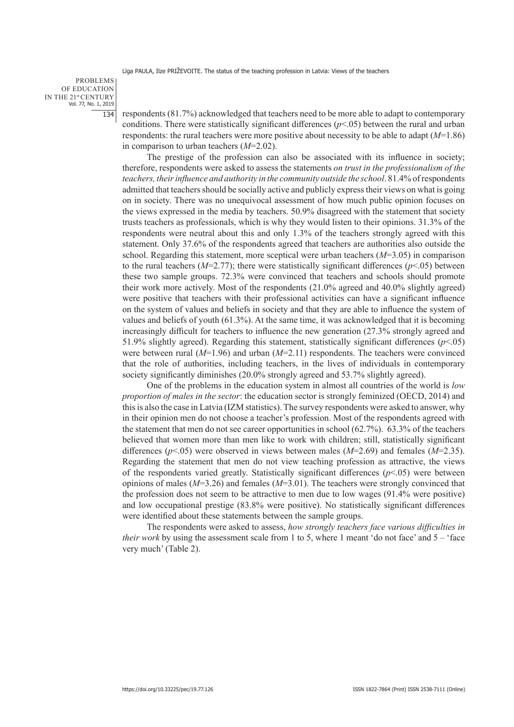PROBLEMS OF EDUCATION IN THE 21st CENTURY Vol. 77, No. 1, 2019 134

respondents (81.7%) acknowledged that teachers need to be more able to adapt to contemporary conditions. There were statistically significant differences  $(p<0.05)$  between the rural and urban respondents: the rural teachers were more positive about necessity to be able to adapt (*M*=1.86) in comparison to urban teachers (*M*=2.02).

The prestige of the profession can also be associated with its influence in society; therefore, respondents were asked to assess the statements *on trust in the professionalism of the teachers, their influence and authority in the community outside the school*. 81.4% of respondents admitted that teachers should be socially active and publicly express their views on what is going on in society. There was no unequivocal assessment of how much public opinion focuses on the views expressed in the media by teachers. 50.9% disagreed with the statement that society trusts teachers as professionals, which is why they would listen to their opinions. 31.3% of the respondents were neutral about this and only 1.3% of the teachers strongly agreed with this statement. Only 37.6% of the respondents agreed that teachers are authorities also outside the school. Regarding this statement, more sceptical were urban teachers (*M*=3.05) in comparison to the rural teachers  $(M=2.77)$ ; there were statistically significant differences  $(p<.05)$  between these two sample groups. 72.3% were convinced that teachers and schools should promote their work more actively. Most of the respondents (21.0% agreed and 40.0% slightly agreed) were positive that teachers with their professional activities can have a significant influence on the system of values and beliefs in society and that they are able to influence the system of values and beliefs of youth (61.3%). At the same time, it was acknowledged that it is becoming increasingly difficult for teachers to influence the new generation (27.3% strongly agreed and 51.9% slightly agreed). Regarding this statement, statistically significant differences  $(p<.05)$ were between rural (*M*=1.96) and urban (*M*=2.11) respondents. The teachers were convinced that the role of authorities, including teachers, in the lives of individuals in contemporary society significantly diminishes (20.0% strongly agreed and 53.7% slightly agreed).

One of the problems in the education system in almost all countries of the world is *low proportion of males in the sector*: the education sector is strongly feminized (OECD, 2014) and this is also the case in Latvia (IZM statistics). The survey respondents were asked to answer, why in their opinion men do not choose a teacher's profession. Most of the respondents agreed with the statement that men do not see career opportunities in school (62.7%). 63.3% of the teachers believed that women more than men like to work with children; still, statistically significant differences (*p*<.05) were observed in views between males (*M*=2.69) and females (*M*=2.35). Regarding the statement that men do not view teaching profession as attractive, the views of the respondents varied greatly. Statistically significant differences  $(p<0.05)$  were between opinions of males (*M*=3.26) and females (*M*=3.01). The teachers were strongly convinced that the profession does not seem to be attractive to men due to low wages (91.4% were positive) and low occupational prestige (83.8% were positive). No statistically significant differences were identified about these statements between the sample groups.

The respondents were asked to assess, *how strongly teachers face various difficulties in their work* by using the assessment scale from 1 to 5, where 1 meant 'do not face' and  $5 -$ ' face very much' (Table 2).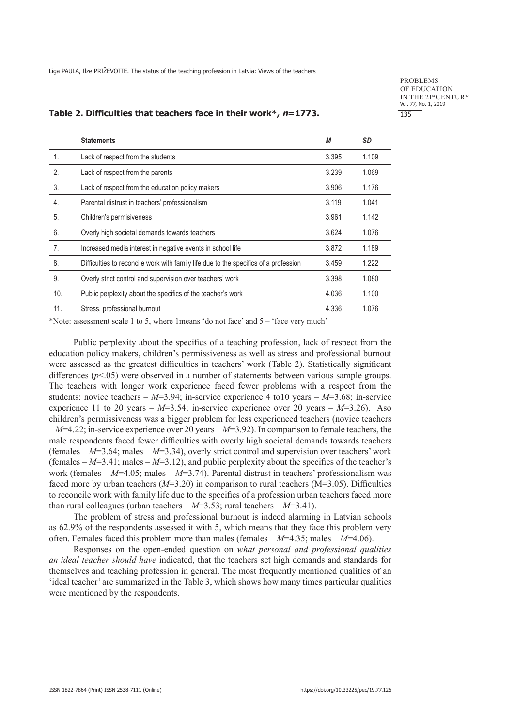**PROBLEMS** OF EDUCATION IN THE 21st CENTURY Vol. 77, No. 1, 2019 135

#### **Table 2. Difficulties that teachers face in their work\*, n=1773.**

|                | <b>Statements</b>                                                                    | М     | SD    |
|----------------|--------------------------------------------------------------------------------------|-------|-------|
| $\mathbf{1}$ . | Lack of respect from the students                                                    | 3.395 | 1.109 |
| 2.             | Lack of respect from the parents                                                     | 3.239 | 1.069 |
| 3.             | Lack of respect from the education policy makers                                     | 3.906 | 1.176 |
| 4.             | Parental distrust in teachers' professionalism                                       | 3.119 | 1.041 |
| 5.             | Children's permisiveness                                                             | 3.961 | 1.142 |
| 6.             | Overly high societal demands towards teachers                                        | 3.624 | 1.076 |
| 7.             | Increased media interest in negative events in school life                           | 3.872 | 1.189 |
| 8.             | Difficulties to reconcile work with family life due to the specifics of a profession | 3.459 | 1.222 |
| 9.             | Overly strict control and supervision over teachers' work                            | 3.398 | 1.080 |
| 10.            | Public perplexity about the specifics of the teacher's work                          | 4.036 | 1.100 |
| 11.            | Stress, professional burnout                                                         | 4.336 | 1.076 |

\*Note: assessment scale 1 to 5, where 1means 'do not face' and 5 – 'face very much'

Public perplexity about the specifics of a teaching profession, lack of respect from the education policy makers, children's permissiveness as well as stress and professional burnout were assessed as the greatest difficulties in teachers' work (Table 2). Statistically significant differences  $(p<.05)$  were observed in a number of statements between various sample groups. The teachers with longer work experience faced fewer problems with a respect from the students: novice teachers –  $M=3.94$ ; in-service experience 4 to 10 years –  $M=3.68$ ; in-service experience 11 to 20 years –  $M=3.54$ ; in-service experience over 20 years –  $M=3.26$ ). Aso children's permissiveness was a bigger problem for less experienced teachers (novice teachers – *M*=4.22; in-service experience over 20 years – *M*=3.92). In comparison to female teachers, the male respondents faced fewer difficulties with overly high societal demands towards teachers (females  $-M=3.64$ ; males  $-M=3.34$ ), overly strict control and supervision over teachers' work (females  $-M=3.41$ ; males  $-M=3.12$ ), and public perplexity about the specifics of the teacher's work (females – *M*=4.05; males – *M*=3.74). Parental distrust in teachers' professionalism was faced more by urban teachers  $(M=3.20)$  in comparison to rural teachers  $(M=3.05)$ . Difficulties to reconcile work with family life due to the specifics of a profession urban teachers faced more than rural colleagues (urban teachers  $-M=3.53$ ; rural teachers  $-M=3.41$ ).

The problem of stress and professional burnout is indeed alarming in Latvian schools as 62.9% of the respondents assessed it with 5, which means that they face this problem very often. Females faced this problem more than males (females  $-M=4.35$ ; males  $-M=4.06$ ).

Responses on the open-ended question on *what personal and professional qualities an ideal teacher should have* indicated, that the teachers set high demands and standards for themselves and teaching profession in general. The most frequently mentioned qualities of an 'ideal teacher' are summarized in the Table 3, which shows how many times particular qualities were mentioned by the respondents.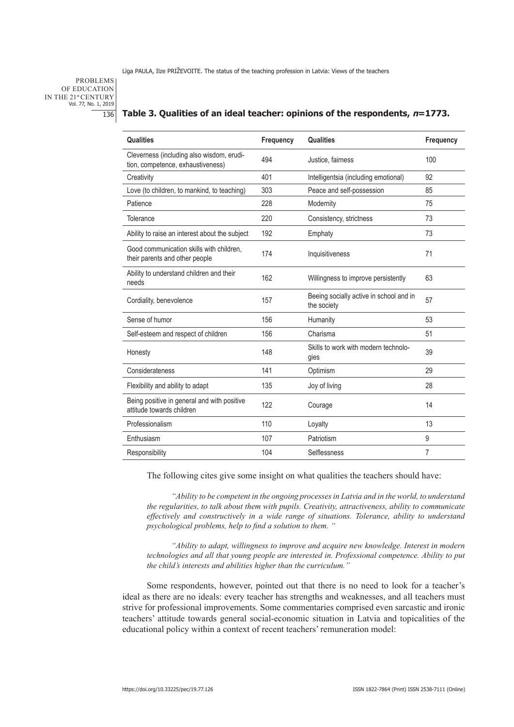PROBLEMS OF EDUCATION IN THE 21st CENTURY Vol. 77, No. 1, 2019 136

| <b>Qualities</b>                                                               | Frequency | <b>Qualities</b>                                       | Frequency      |
|--------------------------------------------------------------------------------|-----------|--------------------------------------------------------|----------------|
| Cleverness (including also wisdom, erudi-<br>tion, competence, exhaustiveness) | 494       | Justice, fairness                                      | 100            |
| Creativity                                                                     | 401       | Intelligentsia (including emotional)                   | 92             |
| Love (to children, to mankind, to teaching)                                    | 303       | Peace and self-possession                              | 85             |
| Patience                                                                       | 228       | Modernity                                              | 75             |
| Tolerance                                                                      | 220       | Consistency, strictness                                | 73             |
| Ability to raise an interest about the subject                                 | 192       | Emphaty                                                | 73             |
| Good communication skills with children.<br>their parents and other people     | 174       | Inquisitiveness                                        | 71             |
| Ability to understand children and their<br>needs                              | 162       | Willingness to improve persistently                    | 63             |
| Cordiality, benevolence                                                        | 157       | Beeing socially active in school and in<br>the society | 57             |
| Sense of humor                                                                 | 156       | Humanity                                               | 53             |
| Self-esteem and respect of children                                            | 156       | Charisma                                               | 51             |
| Honesty                                                                        | 148       | Skills to work with modern technolo-<br>gies           | 39             |
| Considerateness                                                                | 141       | Optimism                                               | 29             |
| Flexibility and ability to adapt                                               | 135       | Joy of living                                          | 28             |
| Being positive in general and with positive<br>attitude towards children       | 122       | Courage                                                | 14             |
| Professionalism                                                                | 110       | Loyalty                                                | 13             |
| Enthusiasm                                                                     | 107       | Patriotism                                             | 9              |
| Responsibility                                                                 | 104       | Selflessness                                           | $\overline{7}$ |
|                                                                                |           |                                                        |                |

### **Table 3. Qualities of an ideal teacher: opinions of the respondents, n=1773.**

The following cites give some insight on what qualities the teachers should have:

*"Ability to be competent in the ongoing processes in Latvia and in the world, to understand the regularities, to talk about them with pupils. Creativity, attractiveness, ability to communicate effectively and constructively in a wide range of situations. Tolerance, ability to understand psychological problems, help to find a solution to them. "*

*"Ability to adapt, willingness to improve and acquire new knowledge. Interest in modern technologies and all that young people are interested in. Professional competence. Ability to put the child's interests and abilities higher than the curriculum."*

Some respondents, however, pointed out that there is no need to look for a teacher's ideal as there are no ideals: every teacher has strengths and weaknesses, and all teachers must strive for professional improvements. Some commentaries comprised even sarcastic and ironic teachers' attitude towards general social-economic situation in Latvia and topicalities of the educational policy within a context of recent teachers' remuneration model: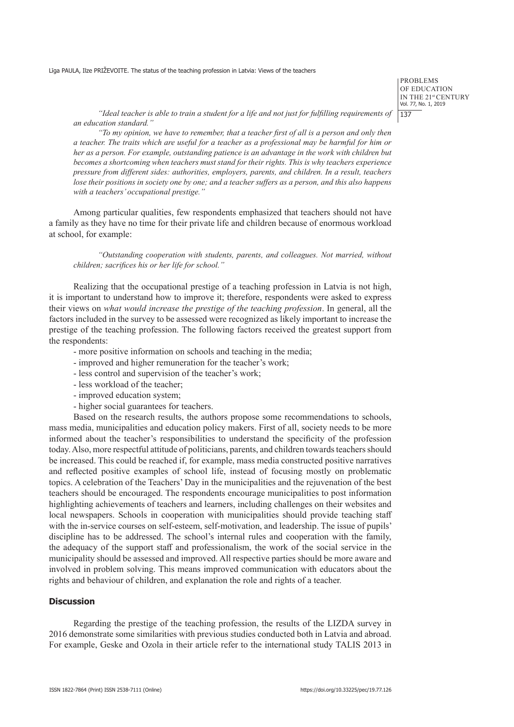PROBLEMS OF EDUCATION IN THE 21st CENTURY Vol. 77, No. 1, 2019  $137$ 

*"Ideal teacher is able to train a student for a life and not just for fulfilling requirements of an education standard."*

*"To my opinion, we have to remember, that a teacher first of all is a person and only then a teacher. The traits which are useful for a teacher as a professional may be harmful for him or her as a person. For example, outstanding patience is an advantage in the work with children but becomes a shortcoming when teachers must stand for their rights. This is why teachers experience pressure from different sides: authorities, employers, parents, and children. In a result, teachers lose their positions in society one by one; and a teacher suffers as a person, and this also happens with a teachers' occupational prestige."* 

Among particular qualities, few respondents emphasized that teachers should not have a family as they have no time for their private life and children because of enormous workload at school, for example:

*"Outstanding cooperation with students, parents, and colleagues. Not married, without children; sacrifices his or her life for school."* 

Realizing that the occupational prestige of a teaching profession in Latvia is not high, it is important to understand how to improve it; therefore, respondents were asked to express their views on *what would increase the prestige of the teaching profession*. In general, all the factors included in the survey to be assessed were recognized as likely important to increase the prestige of the teaching profession. The following factors received the greatest support from the respondents:

- more positive information on schools and teaching in the media;
- improved and higher remuneration for the teacher's work;
- less control and supervision of the teacher's work;
- less workload of the teacher;
- improved education system;
- higher social guarantees for teachers.

Based on the research results, the authors propose some recommendations to schools, mass media, municipalities and education policy makers. First of all, society needs to be more informed about the teacher's responsibilities to understand the specificity of the profession today. Also, more respectful attitude of politicians, parents, and children towards teachers should be increased. This could be reached if, for example, mass media constructed positive narratives and reflected positive examples of school life, instead of focusing mostly on problematic topics. A celebration of the Teachers' Day in the municipalities and the rejuvenation of the best teachers should be encouraged. The respondents encourage municipalities to post information highlighting achievements of teachers and learners, including challenges on their websites and local newspapers. Schools in cooperation with municipalities should provide teaching staff with the in-service courses on self-esteem, self-motivation, and leadership. The issue of pupils' discipline has to be addressed. The school's internal rules and cooperation with the family, the adequacy of the support staff and professionalism, the work of the social service in the municipality should be assessed and improved. All respective parties should be more aware and involved in problem solving. This means improved communication with educators about the rights and behaviour of children, and explanation the role and rights of a teacher.

# **Discussion**

Regarding the prestige of the teaching profession, the results of the LIZDA survey in 2016 demonstrate some similarities with previous studies conducted both in Latvia and abroad. For example, Geske and Ozola in their article refer to the international study TALIS 2013 in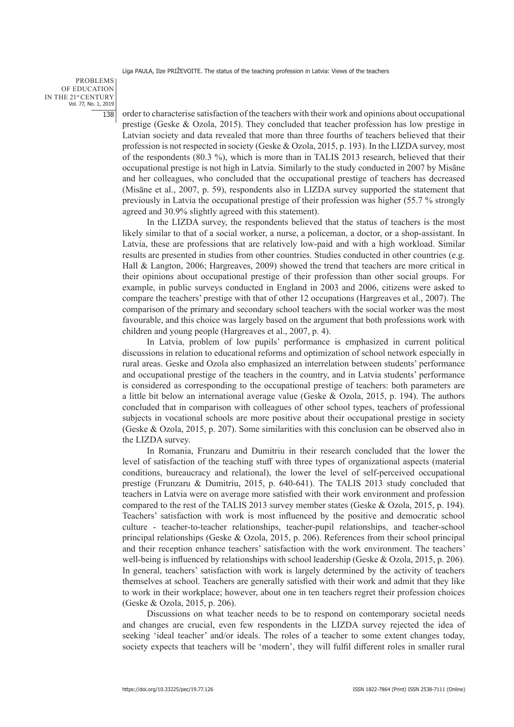PROBLEMS OF EDUCATION IN THE 21st CENTURY Vol. 77, No. 1, 2019 138

order to characterise satisfaction of the teachers with their work and opinions about occupational prestige (Geske & Ozola, 2015). They concluded that teacher profession has low prestige in Latvian society and data revealed that more than three fourths of teachers believed that their profession is not respected in society (Geske & Ozola, 2015, p. 193). In the LIZDA survey, most of the respondents (80.3 %), which is more than in TALIS 2013 research, believed that their occupational prestige is not high in Latvia. Similarly to the study conducted in 2007 by Misāne and her colleagues, who concluded that the occupational prestige of teachers has decreased (Misāne et al., 2007, p. 59), respondents also in LIZDA survey supported the statement that previously in Latvia the occupational prestige of their profession was higher (55.7 % strongly agreed and 30.9% slightly agreed with this statement).

In the LIZDA survey, the respondents believed that the status of teachers is the most likely similar to that of a social worker, a nurse, a policeman, a doctor, or a shop-assistant. In Latvia, these are professions that are relatively low-paid and with a high workload. Similar results are presented in studies from other countries. Studies conducted in other countries (e.g. Hall & Langton, 2006; Hargreaves, 2009) showed the trend that teachers are more critical in their opinions about occupational prestige of their profession than other social groups. For example, in public surveys conducted in England in 2003 and 2006, citizens were asked to compare the teachers' prestige with that of other 12 occupations (Hargreaves et al., 2007). The comparison of the primary and secondary school teachers with the social worker was the most favourable, and this choice was largely based on the argument that both professions work with children and young people (Hargreaves et al., 2007, p. 4).

In Latvia, problem of low pupils' performance is emphasized in current political discussions in relation to educational reforms and optimization of school network especially in rural areas. Geske and Ozola also emphasized an interrelation between students' performance and occupational prestige of the teachers in the country, and in Latvia students' performance is considered as corresponding to the occupational prestige of teachers: both parameters are a little bit below an international average value (Geske & Ozola, 2015, p. 194). The authors concluded that in comparison with colleagues of other school types, teachers of professional subjects in vocational schools are more positive about their occupational prestige in society (Geske & Ozola, 2015, p. 207). Some similarities with this conclusion can be observed also in the LIZDA survey.

In Romania, Frunzaru and Dumitriu in their research concluded that the lower the level of satisfaction of the teaching stuff with three types of organizational aspects (material conditions, bureaucracy and relational), the lower the level of self-perceived occupational prestige (Frunzaru & Dumitriu, 2015, p. 640-641). The TALIS 2013 study concluded that teachers in Latvia were on average more satisfied with their work environment and profession compared to the rest of the TALIS 2013 survey member states (Geske & Ozola, 2015, p. 194). Teachers' satisfaction with work is most influenced by the positive and democratic school culture - teacher-to-teacher relationships, teacher-pupil relationships, and teacher-school principal relationships (Geske & Ozola, 2015, p. 206). References from their school principal and their reception enhance teachers' satisfaction with the work environment. The teachers' well-being is influenced by relationships with school leadership (Geske & Ozola, 2015, p. 206). In general, teachers' satisfaction with work is largely determined by the activity of teachers themselves at school. Teachers are generally satisfied with their work and admit that they like to work in their workplace; however, about one in ten teachers regret their profession choices (Geske & Ozola, 2015, p. 206).

Discussions on what teacher needs to be to respond on contemporary societal needs and changes are crucial, even few respondents in the LIZDA survey rejected the idea of seeking 'ideal teacher' and/or ideals. The roles of a teacher to some extent changes today, society expects that teachers will be 'modern', they will fulfil different roles in smaller rural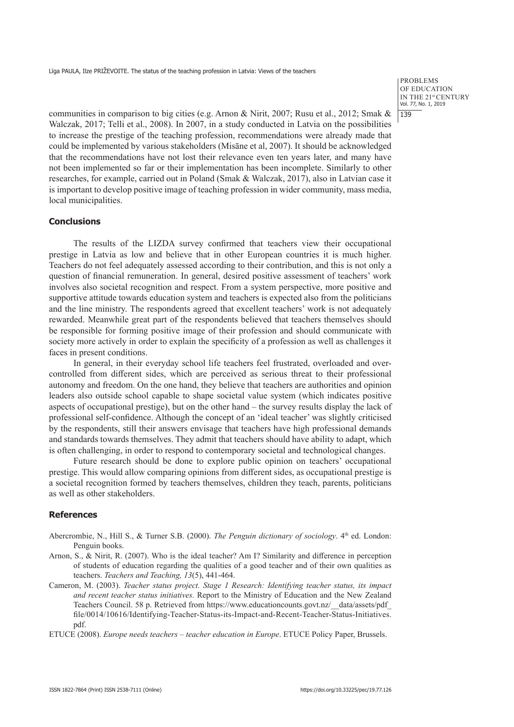PROBLEMS OF EDUCATION IN THE 21st CENTURY Vol. 77, No. 1, 2019  $139$ 

communities in comparison to big cities (e.g. Arnon & Nirit, 2007; Rusu et al., 2012; Smak & Walczak, 2017; Telli et al., 2008). In 2007, in a study conducted in Latvia on the possibilities to increase the prestige of the teaching profession, recommendations were already made that could be implemented by various stakeholders (Misāne et al, 2007). It should be acknowledged that the recommendations have not lost their relevance even ten years later, and many have not been implemented so far or their implementation has been incomplete. Similarly to other researches, for example, carried out in Poland (Smak & Walczak, 2017), also in Latvian case it is important to develop positive image of teaching profession in wider community, mass media, local municipalities.

# **Conclusions**

The results of the LIZDA survey confirmed that teachers view their occupational prestige in Latvia as low and believe that in other European countries it is much higher. Teachers do not feel adequately assessed according to their contribution, and this is not only a question of financial remuneration. In general, desired positive assessment of teachers' work involves also societal recognition and respect. From a system perspective, more positive and supportive attitude towards education system and teachers is expected also from the politicians and the line ministry. The respondents agreed that excellent teachers' work is not adequately rewarded. Meanwhile great part of the respondents believed that teachers themselves should be responsible for forming positive image of their profession and should communicate with society more actively in order to explain the specificity of a profession as well as challenges it faces in present conditions.

In general, in their everyday school life teachers feel frustrated, overloaded and overcontrolled from different sides, which are perceived as serious threat to their professional autonomy and freedom. On the one hand, they believe that teachers are authorities and opinion leaders also outside school capable to shape societal value system (which indicates positive aspects of occupational prestige), but on the other hand – the survey results display the lack of professional self-confidence. Although the concept of an 'ideal teacher' was slightly criticised by the respondents, still their answers envisage that teachers have high professional demands and standards towards themselves. They admit that teachers should have ability to adapt, which is often challenging, in order to respond to contemporary societal and technological changes.

Future research should be done to explore public opinion on teachers' occupational prestige. This would allow comparing opinions from different sides, as occupational prestige is a societal recognition formed by teachers themselves, children they teach, parents, politicians as well as other stakeholders.

# **References**

- Abercrombie, N., Hill S., & Turner S.B. (2000). *The Penguin dictionary of sociology*. 4<sup>th</sup> ed. London: Penguin books.
- Arnon, S., & Nirit, R. (2007). Who is the ideal teacher? Am I? Similarity and difference in perception of students of education regarding the qualities of a good teacher and of their own qualities as teachers. *Teachers and Teaching, 13*(5), 441-464.
- Cameron, M. (2003). *Teacher status project. Stage 1 Research: Identifying teacher status, its impact and recent teacher status initiatives.* Report to the Ministry of Education and the New Zealand Teachers Council. 58 p. Retrieved from https://www.educationcounts.govt.nz/\_\_data/assets/pdf\_ file/0014/10616/Identifying-Teacher-Status-its-Impact-and-Recent-Teacher-Status-Initiatives. pdf.

ETUCE (2008). *Europe needs teachers – teacher education in Europe*. ETUCE Policy Paper, Brussels.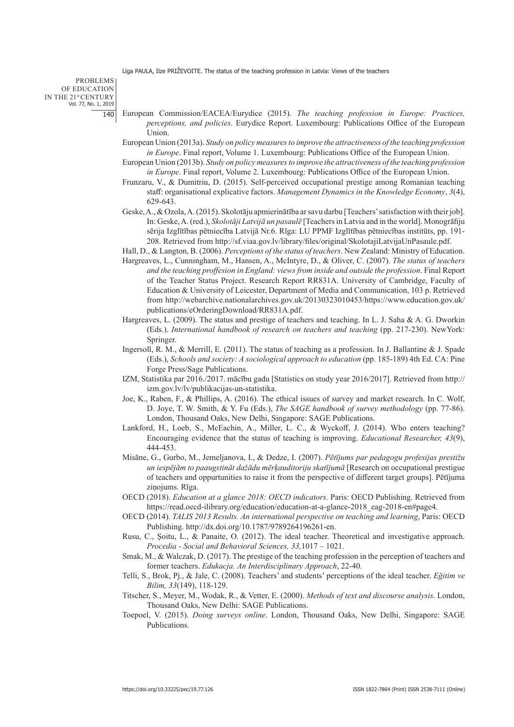PROBLEMS OF EDUCATION IN THE 21st CENTURY Vol. 77, No. 1, 2019 140

- European Commission/EACEA/Eurydice (2015). *The teaching profession in Europe: Practices, perceptions, and policies*. Eurydice Report. Luxembourg: Publications Office of the European Union.
- European Union (2013a). *Study on policy measures to improve the attractiveness of the teaching profession in Europe*. Final report, Volume 1. Luxembourg: Publications Office of the European Union.
- European Union (2013b). *Study on policy measures to improve the attractiveness of the teaching profession in Europe*. Final report, Volume 2. Luxembourg: Publications Office of the European Union.
- Frunzaru, V., & Dumitriu, D. (2015). Self-perceived occupational prestige among Romanian teaching staff: organisational explicative factors. *Management Dynamics in the Knowledge Economy*, *3*(4), 629-643.
- Geske, A., & Ozola, A. (2015). Skolotāju apmierinātība ar savu darbu [Teachers' satisfaction with their job]. In: Geske, A. (red.), *Skolotāji Latvijā un pasaulē* [Teachers in Latvia and in the world]. Monogrāfiju sērija Izglītības pētniecība Latvijā Nr.6. Rīga: LU PPMF Izglītības pētniecības institūts, pp. 191- 208. Retrieved from http://sf.viaa.gov.lv/library/files/original/SkolotajiLatvijaUnPasaule.pdf.
- Hall, D., & Langton, B. (2006). *Perceptions of the status of teachers*. New Zealand: Ministry of Education.
- Hargreaves, L., Cunningham, M., Hansen, A., McIntyre, D., & Oliver, C. (2007). *The status of teachers and the teaching proffesion in England: views from inside and outside the profession*. Final Report of the Teacher Status Project. Research Report RR831A. University of Cambridge, Faculty of Education & University of Leicester, Department of Media and Communication, 103 p. Retrieved from http://webarchive.nationalarchives.gov.uk/20130323010453/https://www.education.gov.uk/ publications/eOrderingDownload/RR831A.pdf.
- Hargreaves, L. (2009). The status and prestige of teachers and teaching. In L. J. Saha & A. G. Dworkin (Eds.). *International handbook of research on teachers and teaching* (pp. 217-230). NewYork: Springer.
- Ingersoll, R. M., & Merrill, E. (2011). The status of teaching as a profession. In J. Ballantine & J. Spade (Eds.), *Schools and society: A sociological approach to education* (pp. 185-189) 4th Ed. CA: Pine Forge Press/Sage Publications.
- IZM, Statistika par 2016./2017. mācību gadu [Statistics on study year 2016/2017]. Retrieved from http:// izm.gov.lv/lv/publikacijas-un-statistika.
- Joe, K., Raben, F., & Phillips, A. (2016). The ethical issues of survey and market research. In C. Wolf, D. Joye, T. W. Smith, & Y. Fu (Eds.), *The SAGE handbook of survey methodology* (pp. 77-86). London, Thousand Oaks, New Delhi, Singapore: SAGE Publications.
- Lankford, H., Loeb, S., McEachin, A., Miller, L. C., & Wyckoff, J. (2014). Who enters teaching? Encouraging evidence that the status of teaching is improving. *Educational Researcher, 43*(9), 444-453.
- Misāne, G., Gurbo, M., Jemeljanova, I., & Dedze, I. (2007). *Pētījums par pedagogu profesijas prestižu un iespējām to paaugstināt dažādu mērķauditoriju skatījumā* [Research on occupational prestigue of teachers and oppurtunities to raise it from the perspective of different target groups]. Pētījuma zinojums. Rīga.
- OECD (2018). *Education at a glance 2018: OECD indicators.* Paris: OECD Publishing. Retrieved from https://read.oecd-ilibrary.org/education/education-at-a-glance-2018\_eag-2018-en#page4.
- OECD (2014). *TALIS 2013 Results. An international perspective on teaching and learning*, Paris: OECD Publishing. http://dx.doi.org/10.1787/9789264196261-en.
- Rusu, C., Şoitu, L., & Panaite, O. (2012). The ideal teacher. Theoretical and investigative approach. *Procedia - Social and Behavioral Sciences, 33,*1017 – 1021.
- Smak, M., & Walczak, D. (2017). The prestige of the teaching profession in the perception of teachers and former teachers. *Edukacja. An Interdisciplinary Approach*, 22-40.
- Telli, S., Brok, Pj., & Jale, C. (2008). Teachers' and students' perceptions of the ideal teacher. *Eğitim ve Bilim, 33*(149), 118-129.
- Titscher, S., Meyer, M., Wodak, R., & Vetter, E. (2000). *Methods of text and discourse analysis*. London, Thousand Oaks, New Delhi: SAGE Publications.
- Toepoel, V. (2015). *Doing surveys online*. London, Thousand Oaks, New Delhi, Singapore: SAGE Publications.